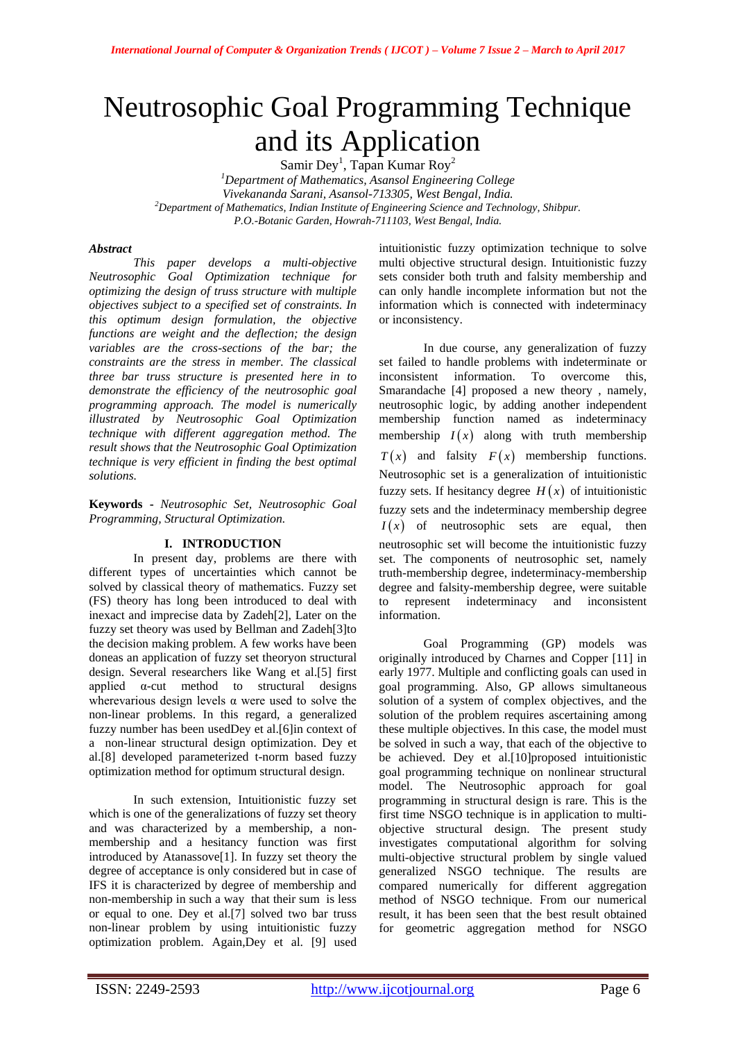# Neutrosophic Goal Programming Technique and its Application

Samir Dey<sup>1</sup>, Tapan Kumar Roy<sup>2</sup>

*<sup>1</sup>Department of Mathematics, Asansol Engineering College Vivekananda Sarani, Asansol-713305, West Bengal, India. <sup>2</sup>Department of Mathematics, Indian Institute of Engineering Science and Technology, Shibpur. P.O.-Botanic Garden, Howrah-711103, West Bengal, India.*

## *Abstract*

*This paper develops a multi-objective Neutrosophic Goal Optimization technique for optimizing the design of truss structure with multiple objectives subject to a specified set of constraints. In this optimum design formulation, the objective functions are weight and the deflection; the design variables are the cross-sections of the bar; the constraints are the stress in member. The classical three bar truss structure is presented here in to demonstrate the efficiency of the neutrosophic goal programming approach. The model is numerically illustrated by Neutrosophic Goal Optimization technique with different aggregation method. The result shows that the Neutrosophic Goal Optimization technique is very efficient in finding the best optimal solutions.*

**Keywords -** *Neutrosophic Set, Neutrosophic Goal Programming, Structural Optimization.*

## **I. INTRODUCTION**

 In present day, problems are there with different types of uncertainties which cannot be solved by classical theory of mathematics. Fuzzy set (FS) theory has long been introduced to deal with inexact and imprecise data by Zadeh[2], Later on the fuzzy set theory was used by Bellman and Zadeh[3]to the decision making problem. A few works have been doneas an application of fuzzy set theoryon structural design. Several researchers like Wang et al.[5] first applied  $\alpha$ -cut method to structural designs wherevarious design levels  $\alpha$  were used to solve the non-linear problems. In this regard, a generalized fuzzy number has been usedDey et al.[6]in context of a non-linear structural design optimization. Dey et al.[8] developed parameterized t-norm based fuzzy optimization method for optimum structural design.

In such extension, Intuitionistic fuzzy set which is one of the generalizations of fuzzy set theory and was characterized by a membership, a nonmembership and a hesitancy function was first introduced by Atanassove[1]. In fuzzy set theory the degree of acceptance is only considered but in case of IFS it is characterized by degree of membership and non-membership in such a way that their sum is less or equal to one. Dey et al.[7] solved two bar truss non-linear problem by using intuitionistic fuzzy optimization problem. Again,Dey et al. [9] used

intuitionistic fuzzy optimization technique to solve multi objective structural design. Intuitionistic fuzzy sets consider both truth and falsity membership and can only handle incomplete information but not the information which is connected with indeterminacy or inconsistency.

In due course, any generalization of fuzzy set failed to handle problems with indeterminate or inconsistent information. To overcome this, Smarandache [4] proposed a new theory , namely, neutrosophic logic, by adding another independent membership function named as indeterminacy membership  $I(x)$  along with truth membership  $T(x)$  and falsity  $F(x)$  membership functions. Neutrosophic set is a generalization of intuitionistic fuzzy sets. If hesitancy degree  $H(x)$  of intuitionistic fuzzy sets and the indeterminacy membership degree  $I(x)$  of neutrosophic sets are equal, then neutrosophic set will become the intuitionistic fuzzy set. The components of neutrosophic set, namely truth-membership degree, indeterminacy-membership degree and falsity-membership degree, were suitable to represent indeterminacy and inconsistent information.

Goal Programming (GP) models was originally introduced by Charnes and Copper [11] in early 1977. Multiple and conflicting goals can used in goal programming. Also, GP allows simultaneous solution of a system of complex objectives, and the solution of the problem requires ascertaining among these multiple objectives. In this case, the model must be solved in such a way, that each of the objective to be achieved. Dey et al.[10]proposed intuitionistic goal programming technique on nonlinear structural model. The Neutrosophic approach for goal programming in structural design is rare. This is the first time NSGO technique is in application to multiobjective structural design. The present study investigates computational algorithm for solving multi-objective structural problem by single valued generalized NSGO technique. The results are compared numerically for different aggregation method of NSGO technique. From our numerical result, it has been seen that the best result obtained for geometric aggregation method for NSGO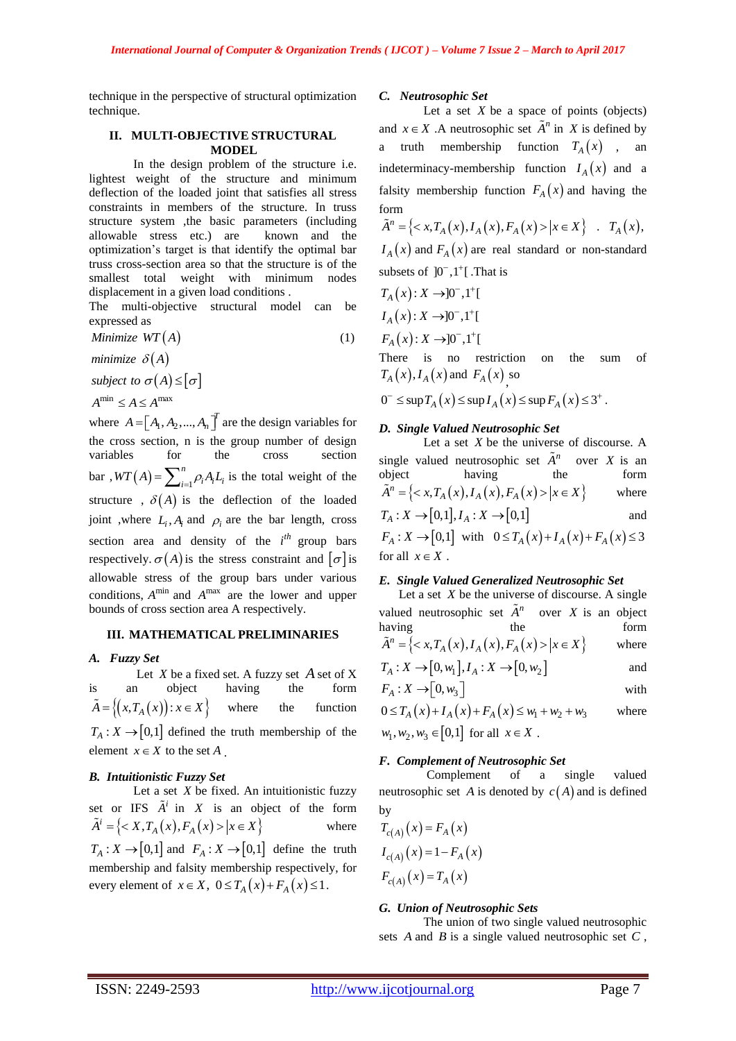technique in the perspective of structural optimization technique.

#### **II. MULTI-OBJECTIVE STRUCTURAL MODEL**

 In the design problem of the structure i.e. lightest weight of the structure and minimum deflection of the loaded joint that satisfies all stress constraints in members of the structure. In truss structure system ,the basic parameters (including allowable stress etc.) are known and the optimization's target is that identify the optimal bar truss cross-section area so that the structure is of the smallest total weight with minimum nodes displacement in a given load conditions .

The multi-objective structural model can be expressed as

Minimize 
$$
WT(A)
$$
 (1)

*minimize*  $\delta(A)$ 

*subject to*  $\sigma(A) \leq [\sigma]$ 

 $A^{\min} \leq A \leq A^{\max}$ 

where  $A = [A_1, A_2, ..., A_n]^T$  are the design variables for the cross section, n is the group number of design variables for the cross section bar,  $WT(A) = \sum_{i=1}^{\infty}$ *n*  $WT(A) = \sum_{i=1}^{n} \rho_i A_i L_i$  is the total weight of the structure,  $\delta(A)$  is the deflection of the loaded joint ,where  $L_i$ ,  $A_i$  and  $\rho_i$  are the bar length, cross section area and density of the  $i^{th}$  group bars respectively.  $\sigma(A)$  is the stress constraint and  $\sigma$  is allowable stress of the group bars under various conditions,  $A^{\min}$  and  $A^{\max}$  are the lower and upper bounds of cross section area A respectively.

#### **III. MATHEMATICAL PRELIMINARIES**

#### *A. Fuzzy Set*

Let *X* be a fixed set. A fuzzy set *A* set of *X* is an object having the form  $\tilde{A} = \{(x, T_A(x)) : x \in X\}$  where the function  $T_A: X \to [0,1]$  defined the truth membership of the element  $x \in X$  to the set A.

## *B. Intuitionistic Fuzzy Set*

Let a set  $X$  be fixed. An intuitionistic fuzzy set or IFS  $\tilde{A}^i$  in X is an object of the form  $\tilde{A}^i = \{ \langle X, T_A(x), F_A(x) \rangle | x \in X \}$  where  $T_A: X \to [0,1]$  and  $F_A: X \to [0,1]$  define the truth membership and falsity membership respectively, for every element of  $x \in X$ ,  $0 \le T_A(x) + F_A(x) \le 1$ .

#### *C. Neutrosophic Set*

Let a set  $X$  be a space of points (objects) and  $x \in X$ . A neutrosophic set  $\tilde{A}^n$  in X is defined by a truth membership function  $T_A(x)$ , an indeterminacy-membership function  $I_A(x)$  and a falsity membership function  $F_A(x)$  and having the form

form<br>  $\tilde{A}^n = \{ \langle x, T_A(x), I_A(x), F_A(x) \rangle | x \in X \}$  .  $T_A(x)$ ,  $I_A(x)$  and  $F_A(x)$  are real standard or non-standard subsets of  $]0^-,1^+[$ . That is

$$
T_A(x): X \rightarrow ]0^-, 1^+[
$$
  
\n
$$
I_A(x): X \rightarrow ]0^-, 1^+[
$$
  
\n
$$
F_A(x): X \rightarrow ]0^-, 1^+[
$$

There is no restriction on the sum of

$$
T_A(x), I_A(x) \text{ and } F_A(x) \text{ so}
$$
  
0<sup>-</sup>  $\leq$  sup  $T_A(x)$   $\leq$  sup  $I_A(x)$   $\leq$  sup  $F_A(x)$   $\leq$  3<sup>+</sup>.

#### *D. Single Valued Neutrosophic Set*

Let a set X be the universe of discourse. A single valued neutrosophic set  $\tilde{A}^n$  over X is an object having the form biject having the form<br>  $\tilde{A}^n = \{ \langle x, T_A(x), I_A(x), F_A(x) \rangle | x \in X \}$  where  $T_A: X \to [0,1], I_A: X \to [0,1]$ and *F<sub>A</sub>*:  $X \to [0,1]$  with  $0 \le T_A(x) + I_A(x) + F_A(x) \le 3$ for all  $x \in X$ .

#### *E. Single Valued Generalized Neutrosophic Set*

Let a set  $X$  be the universe of discourse. A single valued neutrosophic set  $\tilde{A}^n$  over *X* is an object having the form he form  $\tilde{A}^n = \{ \langle x, T_A(x), I_A(x), F_A(x) \rangle | x \in X \}$  where

$$
T_A: X \to [0, w_1], I_A: X \to [0, w_2]
$$
 and

$$
F_A: X \to [0, w_3]
$$
 with

 $0 \leq T_A(x) + I_A(x) + F_A(x) \leq w_1 + w_2 + w_3$ where  $w_1, w_2, w_3 \in [0,1]$  for all  $x \in X$ .

#### *F. Complement of Neutrosophic Set*

 Complement of a single valued neutrosophic set A is denoted by  $c(A)$  and is defined by

$$
T_{c(A)}(x) = F_A(x)
$$
  
\n
$$
I_{c(A)}(x) = 1 - F_A(x)
$$
  
\n
$$
F_{c(A)}(x) = T_A(x)
$$

#### *G. Union of Neutrosophic Sets*

 The union of two single valued neutrosophic sets  $A$  and  $B$  is a single valued neutrosophic set  $C$ ,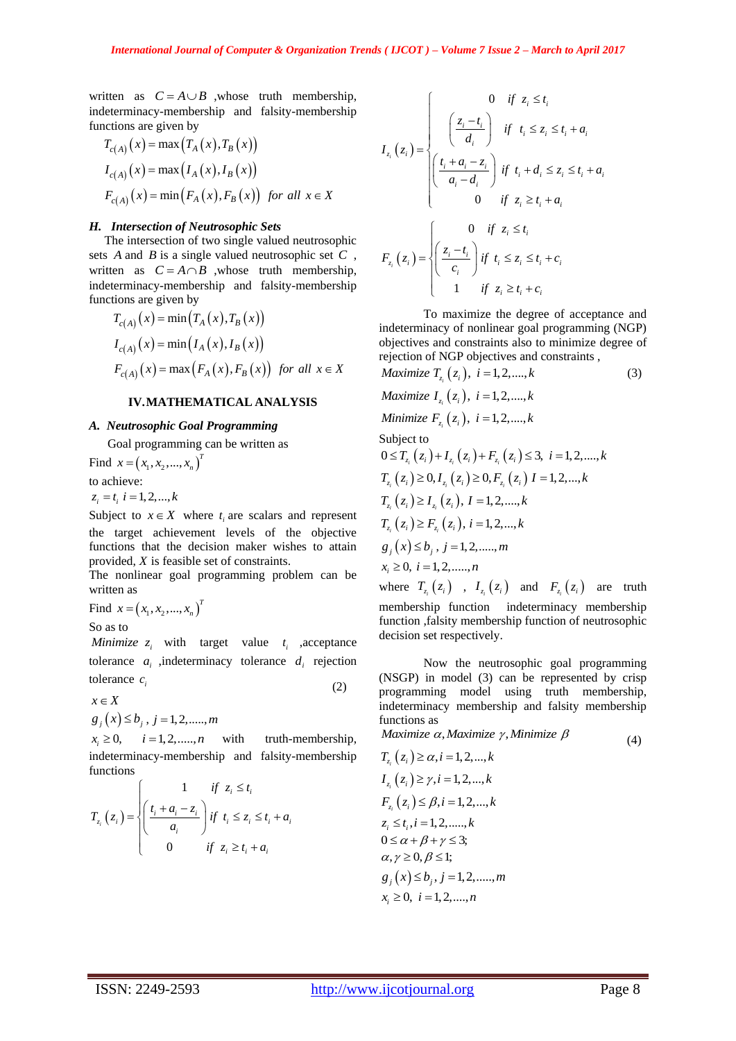written as  $C = A \cup B$  ,whose truth membership, indeterminacy-membership and falsity-membership

functions are given by  
\n
$$
T_{c(A)}(x) = \max(T_A(x), T_B(x))
$$
\n
$$
I_{c(A)}(x) = \max(I_A(x), I_B(x))
$$
\n
$$
F_{c(A)}(x) = \min(F_A(x), F_B(x)) \text{ for all } x \in X
$$

#### *H. Intersection of Neutrosophic Sets*

 The intersection of two single valued neutrosophic sets *A* and *B* is a single valued neutrosophic set *C* , written as  $C = A \cap B$  ,whose truth membership, indeterminacy-membership and falsity-membership

functions are given by  
\n
$$
T_{c(A)}(x) = \min(T_A(x), T_B(x))
$$
\n
$$
I_{c(A)}(x) = \min(I_A(x), I_B(x))
$$
\n
$$
F_{c(A)}(x) = \max(F_A(x), F_B(x)) \text{ for all } x \in X
$$

### **IV.MATHEMATICAL ANALYSIS**

#### *A. Neutrosophic Goal Programming*

Goal programming can be written as

Find  $x = (x_1, x_2, ..., x_n)^T$  $x = (x_1, x_2, \dots, x_n)$ to achieve:  $z_i = t_i$ ,  $i = 1, 2, \dots, k$ 

Subject to  $x \in X$  where  $t_i$  are scalars and represent the target achievement levels of the objective functions that the decision maker wishes to attain provided, *X* is feasible set of constraints.

The nonlinear goal programming problem can be written as

Find  $x = (x_1, x_2, ..., x_n)^T$  $x = (x_1, x_2, ..., x_n)$ 

So as to

*Minimize*  $z_i$  with target value  $t_i$  ,acceptance tolerance  $a_i$  , indeterminacy tolerance  $d_i$  rejection tolerance  $c_i$ (2)

 $x \in X$ 

$$
g_j(x) \le b_j, j = 1, 2, \dots, m
$$

 $x \geq 0$ ,  $i = 1, 2, \dots, n$  with truth-membership, indeterminacy-membership and falsity-membership functions

functions  
\n
$$
T_{z_i}(z_i) = \begin{cases} 1 & \text{if } z_i \le t_i \\ \left(\frac{t_i + a_i - z_i}{a_i}\right) & \text{if } t_i \le z_i \le t_i + a_i \\ 0 & \text{if } z_i \ge t_i + a_i \end{cases}
$$

$$
I_{z_i}(z_i) = \begin{cases} 0 & \text{if } z_i \le t_i \\ \left(\frac{z_i - t_i}{d_i}\right) & \text{if } t_i \le z_i \le t_i + a_i \\ \left(\frac{t_i + a_i - z_i}{a_i - d_i}\right) & \text{if } t_i + d_i \le z_i \le t_i + a_i \\ 0 & \text{if } z_i \ge t_i + a_i \end{cases}
$$

$$
F_{z_i}(z_i) = \begin{cases} 0 & \text{if } z_i \le t_i \\ \left(\frac{z_i - t_i}{c_i}\right) & \text{if } t_i \le z_i \le t_i + c_i \\ 1 & \text{if } z_i \ge t_i + c_i \end{cases}
$$

To maximize the degree of acceptance and indeterminacy of nonlinear goal programming (NGP) objectives and constraints also to minimize degree of rejection of NGP objectives and constraints ,

*Maximize* 
$$
T_{z_i}(z_i)
$$
,  $i = 1, 2, ..., k$    
\n*Maximize*  $I_{z_i}(z_i)$ ,  $i = 1, 2, ..., k$    
\n*Minimize*  $F_{z_i}(z_i)$ ,  $i = 1, 2, ..., k$    
\n*Subject to*  $0 \le T_{z_i}(z_i) + I_{z_i}(z_i) + F_{z_i}(z_i) \le 3$ ,  $i = 1, 2, ..., k$    
\n $T_{z_i}(z_i) \ge 0, I_{z_i}(z_i) \ge 0, F_{z_i}(z_i) I = 1, 2, ..., k$ 

$$
T_{z_i}(z_i) \ge I_{z_i}(z_i), I = 1, 2, ..., k
$$
  
\n
$$
T_{z_i}(z_i) \ge F_{z_i}(z_i), i = 1, 2, ..., k
$$
  
\n
$$
g_j(x) \le b_j, j = 1, 2, ..., m
$$
  
\n
$$
x_i \ge 0, i = 1, 2, ..., n
$$

where  $T_{z_i}(z_i)$ ,  $I_{z_i}(z_i)$  and  $F_{z_i}(z_i)$  are truth membership function indeterminacy membership function ,falsity membership function of neutrosophic decision set respectively.

Now the neutrosophic goal programming (NSGP) in model (3) can be represented by crisp programming model using truth membership, indeterminacy membership and falsity membership functions as

 $Maximize \alpha, Maximize \gamma, Minimize \beta$ (4)

$$
T_{z_i}(z_i) \ge \alpha, i = 1, 2, ..., k
$$
  
\n
$$
I_{z_i}(z_i) \ge \gamma, i = 1, 2, ..., k
$$
  
\n
$$
F_{z_i}(z_i) \le \beta, i = 1, 2, ..., k
$$
  
\n
$$
z_i \le t_i, i = 1, 2, ..., k
$$
  
\n
$$
0 \le \alpha + \beta + \gamma \le 3;
$$
  
\n
$$
\alpha, \gamma \ge 0, \beta \le 1;
$$
  
\n
$$
g_j(x) \le b_j, j = 1, 2, ..., m
$$
  
\n
$$
x_i \ge 0, i = 1, 2, ..., n
$$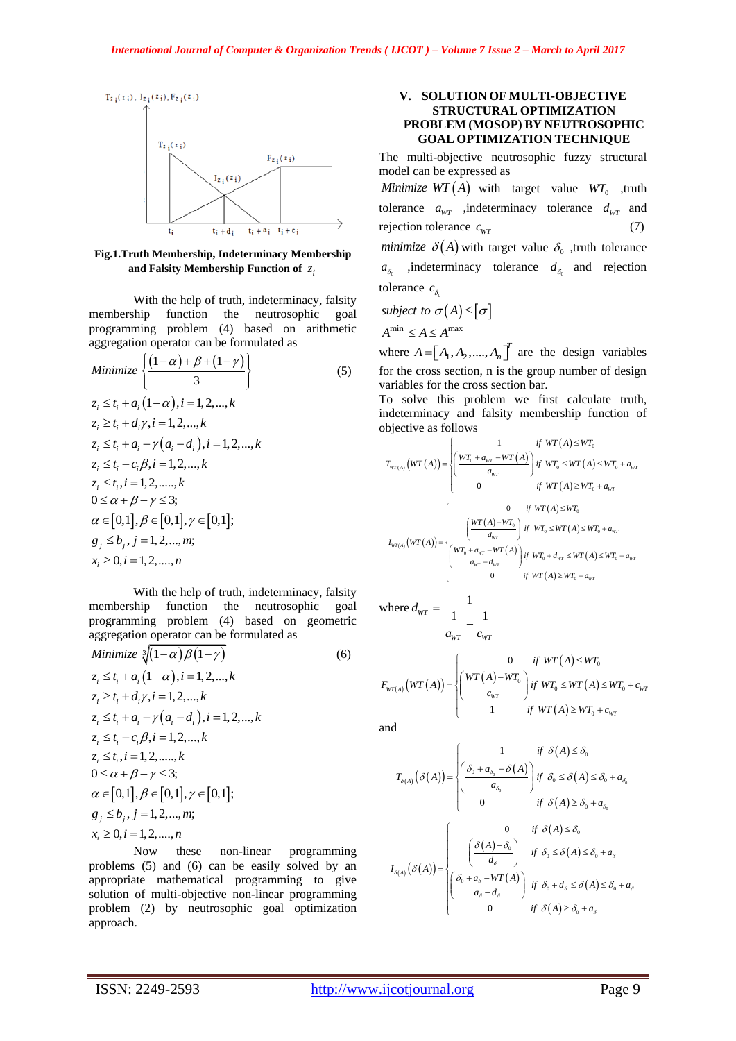

**Fig.1.Truth Membership, Indeterminacy Membership**  and Falsity Membership Function of  $z_i$ 

With the help of truth, indeterminacy, falsity membership function the neutrosophic goal programming problem (4) based on arithmetic

aggregation operator can be formulated as

\n
$$
\text{Minimize } \left\{ \frac{(1-\alpha)+\beta+(1-\gamma)}{3} \right\}
$$
\n
$$
z_i \leq t_i + a_i (1-\alpha), i = 1, 2, \ldots, k
$$
\n
$$
z_i \geq t_i + d_i \gamma, i = 1, 2, \ldots, k
$$
\n
$$
z_i \leq t_i + a_i - \gamma (a_i - d_i), i = 1, 2, \ldots, k
$$
\n
$$
z_i \leq t_i + c_i \beta, i = 1, 2, \ldots, k
$$
\n
$$
z_i \leq t_i, i = 1, 2, \ldots, k
$$
\n
$$
0 \leq \alpha + \beta + \gamma \leq 3;
$$
\n
$$
\alpha \in [0, 1], \beta \in [0, 1], \gamma \in [0, 1];
$$
\n
$$
g_j \leq b_j, j = 1, 2, \ldots, m;
$$
\n
$$
x_i \geq 0, i = 1, 2, \ldots, n
$$

With the help of truth, indeterminacy, falsity membership function the neutrosophic goal programming problem (4) based on geometric aggregation operator can be formulated as

Minimize 
$$
\sqrt[3]{(1-\alpha)\beta(1-\gamma)}
$$
 (6)  
\n $z_i \le t_i + a_i (1-\alpha), i = 1, 2, ..., k$   
\n $z_i \ge t_i + d_i \gamma, i = 1, 2, ..., k$   
\n $z_i \le t_i + a_i - \gamma(a_i - d_i), i = 1, 2, ..., k$   
\n $z_i \le t_i + c_i \beta, i = 1, 2, ..., k$   
\n $z_i \le t_i, i = 1, 2, ..., k$   
\n $0 \le \alpha + \beta + \gamma \le 3;$   
\n $\alpha \in [0,1], \beta \in [0,1], \gamma \in [0,1];$   
\n $g_j \le b_j, j = 1, 2, ..., m;$   
\n $x_i \ge 0, i = 1, 2, ..., n$ 

Now these non-linear programming problems (5) and (6) can be easily solved by an appropriate mathematical programming to give solution of multi-objective non-linear programming problem (2) by neutrosophic goal optimization approach.

## **V. SOLUTION OF MULTI-OBJECTIVE STRUCTURAL OPTIMIZATION PROBLEM (MOSOP) BY NEUTROSOPHIC GOAL OPTIMIZATION TECHNIQUE**

The multi-objective neutrosophic fuzzy structural model can be expressed as

*Minimize*  $WT(A)$  with target value  $WT_0$  ,truth tolerance  $a_{WT}$  , indeterminacy tolerance  $d_{WT}$  and rejection tolerance  $c_{wr}$ (7) *minimize*  $\delta(A)$  with target value  $\delta_0$ , truth tolerance  $a_{\delta_0}$  , indeterminacy tolerance  $d_{\delta_0}$  and rejection tolerance  $c_{\delta_0}$ 

subject to 
$$
\sigma(A) \leq [\sigma]
$$
  
 $A^{\min} \leq A \leq A^{\max}$ 

where  $A = [A_1, A_2, ..., A_n]^T$  are the design variables for the cross section, n is the group number of design variables for the cross section bar.

To solve this problem we first calculate truth, indeterminacy and falsity membership function of objective as follows  $if WT(A) \leq WT_C$ 

$$
T_{WT(A)}(WT(A)) = \begin{cases} \frac{1}{WT(A + a_{WT} - WT(A))} & \text{if } WT(A) \le WT_0 \\ \frac{WT_0 + a_{WT} - WT(A)}{a_{WT}} & \text{if } WT(A) \le WT_0 + a_{WT} \\ 0 & \text{if } WT(A) \ge WT_0 + a_{WT} \end{cases}
$$

$$
I_{WT(A)}(WT(A)) = \begin{cases} 0 & \text{if } WT(A) \le WT_0 \\ \frac{WT(A) - WT_0}{a_{WT}} & \text{if } WT_0 \le WT(A) \le WT_0 + a_{WT} \\ \frac{WT_0 + a_{WT} - WT(A)}{a_{WT} - d_{WT}} & \text{if } WT_0 + d_{WT} \le WT(A) \le WT_0 + a_{WT} \\ 0 & \text{if } WT(A) \ge WT_0 + a_{WT} \end{cases}
$$

where 
$$
d_{wr} = \frac{1}{\frac{1}{d_{wr}} + \frac{1}{c_{wr}}}
$$

$$
a_{WT}
$$
\n
$$
F_{WT(A)}(WT(A)) = \begin{cases} 0 & \text{if } WT(A) \le WT_0 \\ \left(\frac{WT(A) - WT_0}{c_{WT}}\right) & \text{if } WT(A) \le WT_0 + c_{WT} \\ 1 & \text{if } WT(A) \ge WT_0 + c_{WT} \end{cases}
$$

and

$$
T_{\delta(A)}(\delta(A)) = \begin{cases} 1 & \text{if } \delta(A) \le \delta_0 \\ \left(\frac{\delta_0 + a_{\delta_0} - \delta(A)}{a_{\delta_0}}\right) & \text{if } \delta_0 \le \delta(A) \le \delta_0 + a_{\delta_0} \\ 0 & \text{if } \delta(A) \ge \delta_0 + a_{\delta_0} \end{cases}
$$

$$
I_{\delta(A)}(\delta(A)) = \begin{cases} 0 & \text{if } \delta(A) \le \delta_0 \\ \left(\frac{\delta(A) - \delta_0}{d_{\delta}}\right) & \text{if } \delta_0 \le \delta(A) \le \delta_0 + a_{\delta} \\ \left(\frac{\delta_0 + a_{\delta} - WT(A)}{a_{\delta} - d_{\delta}}\right) & \text{if } \delta_0 + d_{\delta} \le \delta(A) \le \delta_0 + a_{\delta} \\ 0 & \text{if } \delta(A) \ge \delta_0 + a_{\delta} \end{cases}
$$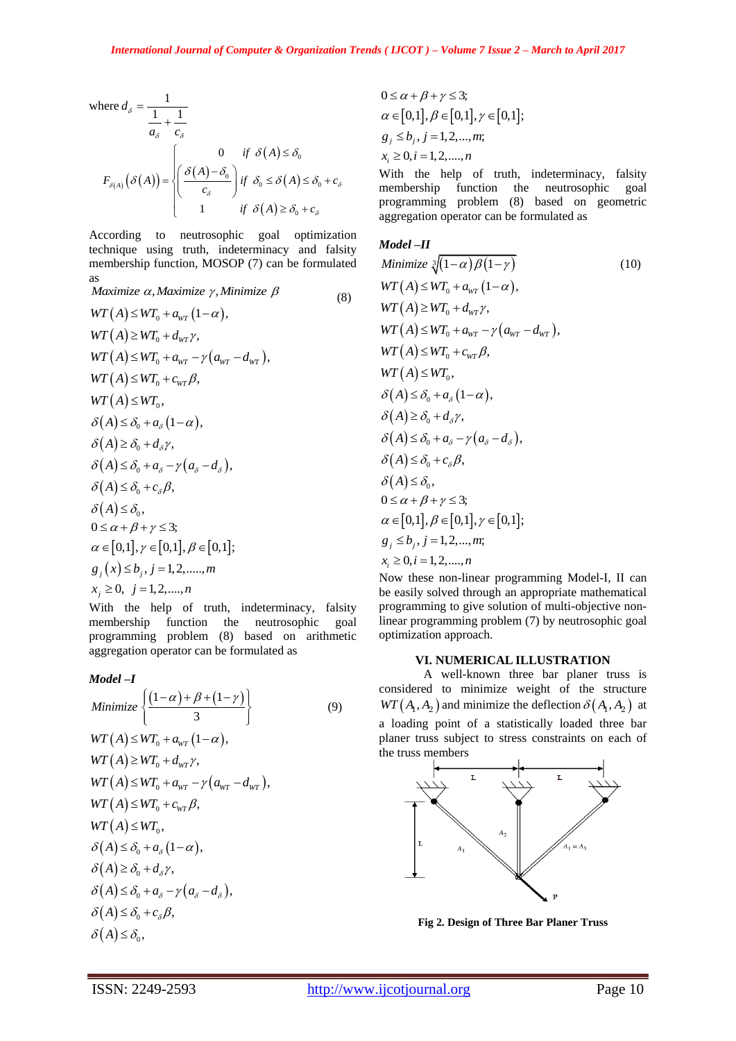where 
$$
d_{\delta} = \frac{1}{\frac{1}{a_{\delta}} + \frac{1}{c_{\delta}}}
$$
  
\n
$$
F_{\delta(A)}(\delta(A)) = \begin{cases} 0 & \text{if } \delta(A) \le \delta_0 \\ \frac{\delta(A) - \delta_0}{c_{\delta}} & \text{if } \delta_0 \le \delta(A) \le \delta_0 + c_{\delta} \\ 1 & \text{if } \delta(A) \ge \delta_0 + c_{\delta} \end{cases}
$$

According to neutrosophic goal optimization technique using truth, indeterminacy and falsity membership function, MOSOP (7) can be formulated as

*Maximize α, Maximize γ, Minimize β*  (8)  $WT(A) \leq WT_0 + a_{wr} (1-\alpha),$  $WT(A) \geq WT_0 + d_{WT} \gamma,$  $WT(A) \leq WT_0 + a_{wr} - \gamma (a_{wr} - d_{wr}),$  $WT(A) \leq WT_0 + c_{WT}\beta,$  $WT(A) \leq WT_0$ ,  $\delta(A) \leq \delta_0 + a_s (1-\alpha),$  $\delta(A) \geq \delta_0 + d_{\delta} \gamma$ ,  $\delta(A) \leq \delta_0 + a_{\delta} - \gamma (a_{\delta} - d_{\delta}),$  $\delta(A) \leq \delta_0 + c_{\delta} \beta$ ,  $\delta(A) \leq \delta_0$ ,  $0 \leq \alpha + \beta + \gamma \leq 3$ ;  $\alpha \in [0,1], \gamma \in [0,1], \beta \in [0,1];$  $g_i(x) \leq b_j, j = 1,2, \dots, m$  $x_j \ge 0, \ \ j = 1, 2, \dots, n$ 

With the help of truth, indeterminacy, falsity membership function the neutrosophic goal programming problem (8) based on arithmetic aggregation operator can be formulated as

$$
\text{Model-I}
$$
\n
$$
\text{Minimize } \left\{ \frac{(1-\alpha)+\beta+(1-\gamma)}{3} \right\} \tag{9}
$$
\n
$$
\text{WT}(A) \le \text{WT}_0 + a_{\text{WT}} (1-\alpha),
$$
\n
$$
\text{WT}(A) \ge \text{WT}_0 + d_{\text{WT}} \gamma,
$$
\n
$$
\text{WT}(A) \le \text{WT}_0 + a_{\text{WT}} - \gamma (a_{\text{WT}} - d_{\text{WT}}),
$$
\n
$$
\text{WT}(A) \le \text{WT}_0 + c_{\text{WT}} \beta,
$$
\n
$$
\text{WT}(A) \le \text{WT}_0,
$$
\n
$$
\delta(A) \le \delta_0 + a_{\delta} (1-\alpha),
$$
\n
$$
\delta(A) \le \delta_0 + d_{\delta} \gamma,
$$
\n
$$
\delta(A) \le \delta_0 + c_{\delta} \beta,
$$
\n
$$
\delta(A) \le \delta_0 + c_{\delta} \beta,
$$
\n
$$
\delta(A) \le \delta_0, \tag{A} \le \delta_0,
$$

$$
0 \le \alpha + \beta + \gamma \le 3; \n\alpha \in [0,1], \beta \in [0,1], \gamma \in [0,1]; \ng_j \le b_j, j = 1,2,...,m; \nx_i \ge 0, i = 1,2,...,n
$$

With the help of truth, indeterminacy, falsity membership function the neutrosophic goal programming problem (8) based on geometric aggregation operator can be formulated as

#### *Model –II*

Minimize 
$$
\sqrt[3]{(1-\alpha)\beta(1-\gamma)}
$$
 (10)  
\n $WT(A) \le WT_0 + a_{wr} (1-\alpha),$   
\n $WT(A) \ge WT_0 + d_{wr}\gamma,$   
\n $WT(A) \le WT_0 + a_{wr} - \gamma(a_{wr} - d_{wr}),$   
\n $WT(A) \le WT_0 + c_{wr}\beta,$   
\n $WT(A) \le WT_0,$   
\n $\delta(A) \le \delta_0 + a_{\delta}(1-\alpha),$   
\n $\delta(A) \ge \delta_0 + d_{\delta}\gamma,$   
\n $\delta(A) \le \delta_0 + a_{\delta} - \gamma(a_{\delta} - d_{\delta}),$   
\n $\delta(A) \le \delta_0 + c_{\delta}\beta,$   
\n $\delta(A) \le \delta_0, \quad 0 \le \alpha + \beta + \gamma \le 3;$   
\n $\alpha \in [0,1], \beta \in [0,1], \gamma \in [0,1];$   
\n $g_j \le b_j, j = 1, 2, ..., n;$   
\n $x_i \ge 0, i = 1, 2, ..., n;$   
\n $x_i \ge 0, i = 1, 2, ..., n;$ 

Now these non-linear programming Model-I, II can be easily solved through an appropriate mathematical programming to give solution of multi-objective nonlinear programming problem (7) by neutrosophic goal optimization approach.

#### **VI. NUMERICAL ILLUSTRATION**

A well-known three bar planer truss is considered to minimize weight of the structure  $WT(A_1, A_2)$  and minimize the deflection  $\delta(A_1, A_2)$  at a loading point of a statistically loaded three bar planer truss subject to stress constraints on each of the truss members



**Fig 2. Design of Three Bar Planer Truss**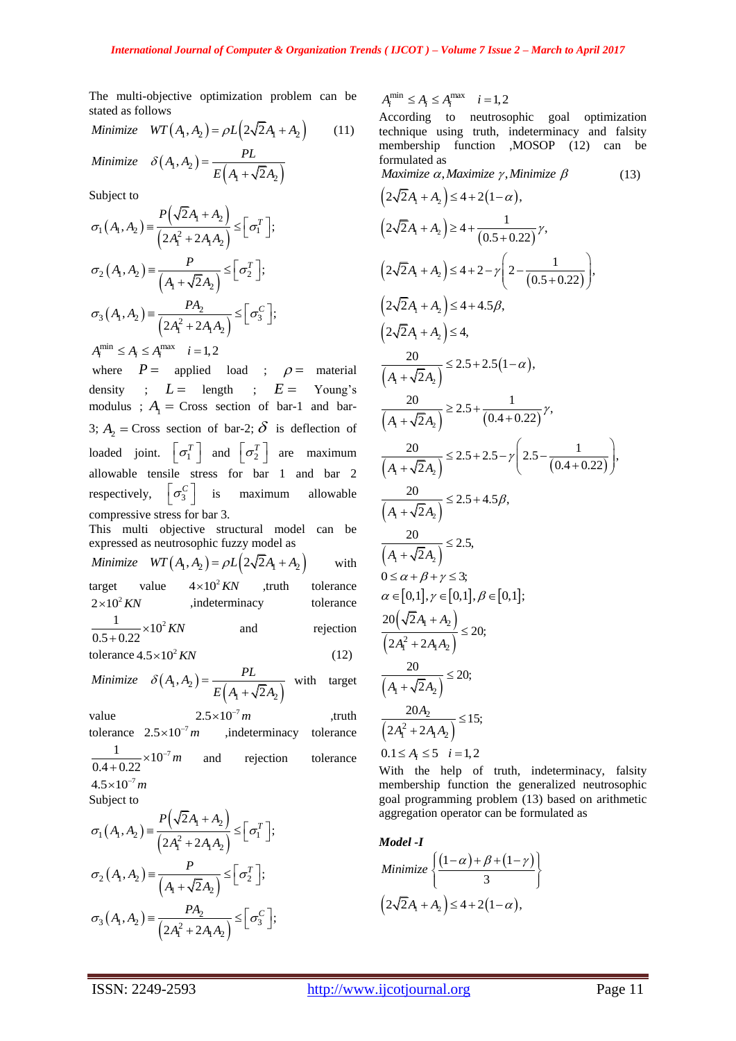The multi-objective optimization problem can be stated as follows

*Minimize*  $WT(A_1, A_2) = \rho L(2\sqrt{2}A_1 + A_2)$  (11)  $(A_1, A_2)$  $(A_1 + \sqrt{2A_2})$  $A_1, A_2$  $, A_2$ ) =  $\frac{12}{E(A_1 + \sqrt{2}A_2)}$  $Minimize$   $\delta(A_1, A_2) = \frac{PL}{E(A_1 + \sqrt{2})}$  $\delta(A_1, A_2) = \frac{12}{E(A_1 + \sqrt{2}A_2)}$  $^{+}$ 

Subject to

$$
\sigma_1(A_1, A_2) = \frac{P(\sqrt{2}A_1 + A_2)}{(2A_1^2 + 2A_1A_2)} \leq [\sigma_1^T];
$$
\n
$$
\sigma_2(A_1, A_2) = \frac{P}{(A_1 + \sqrt{2}A_2)} \leq [\sigma_2^T];
$$
\n
$$
\sigma_3(A_1, A_2) = \frac{PA_2}{(2A_1^2 + 2A_1A_2)} \leq [\sigma_3^C];
$$
\n
$$
A_i^{\min} \leq A_i \leq A_i^{\max} \quad i = 1, 2
$$

where  $P =$  applied load ;  $\rho =$  material density ;  $L =$  length ;  $E =$  Young's modulus ;  $A_1$  = Cross section of bar-1 and bar-3;  $A_2$  = Cross section of bar-2;  $\delta$  is deflection of loaded joint.  $\left[\sigma_1^T\right]$  and  $\left[\sigma_2^T\right]$  are maximum allowable tensile stress for bar 1 and bar 2 respectively,  $\left[\sigma_3^C\right]$ maximum allowable compressive stress for bar 3.

This multi objective structural model can be expressed as neutrosophic fuzzy model as *Minimize*  $WT(A_1, A_2) = \rho L (2\sqrt{2}A_1 + A_2)$ with

target value  $4\times10^2$  KN ,truth tolerance  $2\times 10^2$  KN ,indeterminacy tolerance  $\frac{1}{0.5 + 0.22} \times 10^2$  KN and rejection  $(12)$ 

tolerance 
$$
4.5 \times 10^2 KN
$$
 (12)  
\nMinimize  $\delta(A, A_1) = \frac{PL}{}$  with target

 $(A_1, A_2)$  $(A_1 + \sqrt{2A_2})$  $A_1, A_2$  $, A_2$ ) =  $\frac{12}{E(A_1 + \sqrt{2}A_2)}$  $Minimize$   $\delta(A_1, A_2) = \frac{PL}{E(A_1 + \sqrt{2})}$  $\delta(A_1, A_2) = \frac{12}{E(A_1 + \sqrt{2}A_2)}$  $^{+}$ target

value  $2.5 \times 10^{-7}$  m ,truth tolerance  $2.5 \times 10^{-7}$  m ,indeterminacy tolerance  $\frac{1}{0.4 + 0.22} \times 10^{-7} m$  $^{+}$ and rejection tolerance  $4.5 \times 10^{-7} m$ 

Subject to

$$
\sigma_1(A_1, A_2) = \frac{P(\sqrt{2}A_1 + A_2)}{(2A_1^2 + 2A_1A_2)} \leq [\sigma_1^T];
$$
  

$$
\sigma_2(A_1, A_2) = \frac{P}{(A_1 + \sqrt{2}A_2)} \leq [\sigma_2^T];
$$
  

$$
\sigma_3(A_1, A_2) = \frac{PA_2}{(2A_1^2 + 2A_1A_2)} \leq [\sigma_3^C];
$$

 $A_i^{\min} \leq A_i \leq A_i^{\max}$   $i = 1,2$ 

According to neutrosophic goal optimization technique using truth, indeterminacy and falsity membership function ,MOSOP (12) can be formulated as

*Maximize*  $\alpha$ *, Maximize*  $\gamma$ *, Minimize*  $\beta$  (13)  $(2\sqrt{2}A_1 + A_2) \leq 4 + 2(1 - \alpha),$  $(2\sqrt{2A_1}+A_2)\geq 4+\frac{1}{(0.5+0.22)}$  $2\sqrt{2}A_1 + A_2$ )  $\geq 4 + \frac{1}{(0.5 + 0.22)}\gamma$ ,  $(2\sqrt{2}A_1 + A_2) \le 4 + 2 - \gamma \left(2 - \frac{1}{(0.5 + 0.22)}\right),$  $\begin{pmatrix} 0.22 \\ 2 & 1 \end{pmatrix}$  $+A_2$ )  $\leq 4 + 2 - \gamma \left(2 - \frac{1}{(0.5 + 0.22)}\right),$  $(2\sqrt{2}A_1 + A_2) \leq 4 + 4.5\beta$  $(2\sqrt{2}A_1 + A_2) \leq 4$ ,  $(A_1 + \sqrt{2A_2})$  $(1-\alpha)$  $A_1 + \sqrt{2A_2}$  $\frac{20}{\sqrt{2}} \leq 2.5 + 2.5(1 - \alpha),$  $\overline{A_1 + \sqrt{2}A}$  $\leq$  2.5 + 2.5(1 -  $\alpha$ )  $^{+}$  $(A_1 + \sqrt{2}A_2)$   $(0.4 + 0.22)$  $\frac{20}{\sqrt{5}}$   $\geq$  2.5 +  $\frac{1}{(0.4 \times 0.22)}$   $\gamma$ ,  $\frac{20}{A_1 + \sqrt{2}A_2}$   $\geq$  2.5 +  $\frac{1}{(0.4 + 0.22)}$  $\geq 2.5 + \frac{1}{(0.4 + 0.22)} \gamma$  $+\sqrt{2}A$ <sub>2</sub>  $(0.4 +$  $(A_1 + \sqrt{2}A_2)^{-2\alpha + 2\alpha}$  (0.4+0.22)  $\frac{20}{\sqrt{24}} \le 2.5 + 2.5 - \gamma \left(2.5 - \frac{1}{(0.4 + 0.22)}\right),$  $\frac{20}{A_1 + \sqrt{2}A_2}$   $\leq$  2.5 + 2.5 -  $\gamma$   $\left( 2.5 - \frac{1}{(0.4 + 0.22)} \right)$  $\gamma\left(2.5-\frac{1}{(0.1-\frac{1}{2})^2}\right),$  $\frac{20}{1+\sqrt{2}A_2}$   $\leq$  2.5 + 2.5 -  $\gamma$   $\left(2.5 - \frac{1}{(0.4 + 0.22)}\right)$ ,  $(A_1 + \sqrt{2A_2})$  $\frac{20}{\sqrt{2}} \leq 2.5 + 4.5\beta,$  $A_1 + \sqrt{2}A$  $\leq$  2.5 + 4.5 $\beta$  $^{+}$  $(A_1 + \sqrt{2A_2})$  $\frac{20}{\sqrt{25}} \leq 2.5,$  $A_1 + \sqrt{2}A$  $\leq$  $^{+}$  $0 \leq \alpha + \beta + \gamma \leq 3$ ;  $\alpha \in [0,1], \gamma \in [0,1], \beta \in [0,1];$  $(\sqrt{2A_1 + A_2})$  $(2A_1^2 + 2A_1A_2)$  $A_1 + A_2$  $A_1^2 + 2A_1A_2$  $20(\sqrt{2})$  $\frac{1}{2A_1^2 + 2A_1A_2} \leq 20;$ *A A*  $A_1^2 + 2A_1A$  $\overline{+}$  $\leq$  $^{+}$  $(A_1 + \sqrt{2A_2})$  $\frac{20}{2} \leq 20;$  $A_1 + \sqrt{2A}$  $\leq$  $^{+}$  $(2A_1^2 + 2A_1A_2)$ 2  $A_1^2 + 2A_1A_2$  $\frac{20A_2}{\sqrt{15}} \leq 15;$  $2A_1^2 + 2$ *A*  $A_1^2 + 2A_1A_2$  $\leq$  $^{+}$  $0.1 \leq A_i \leq 5$   $i=1,2$ 

With the help of truth, indeterminacy, falsity membership function the generalized neutrosophic goal programming problem (13) based on arithmetic aggregation operator can be formulated as

Model -I  
\nMinimize 
$$
\left\{\frac{(1-\alpha)+\beta+(1-\gamma)}{3}\right\}
$$

$$
\left(2\sqrt{2}A_1+A_2\right) \leq 4+2(1-\alpha),
$$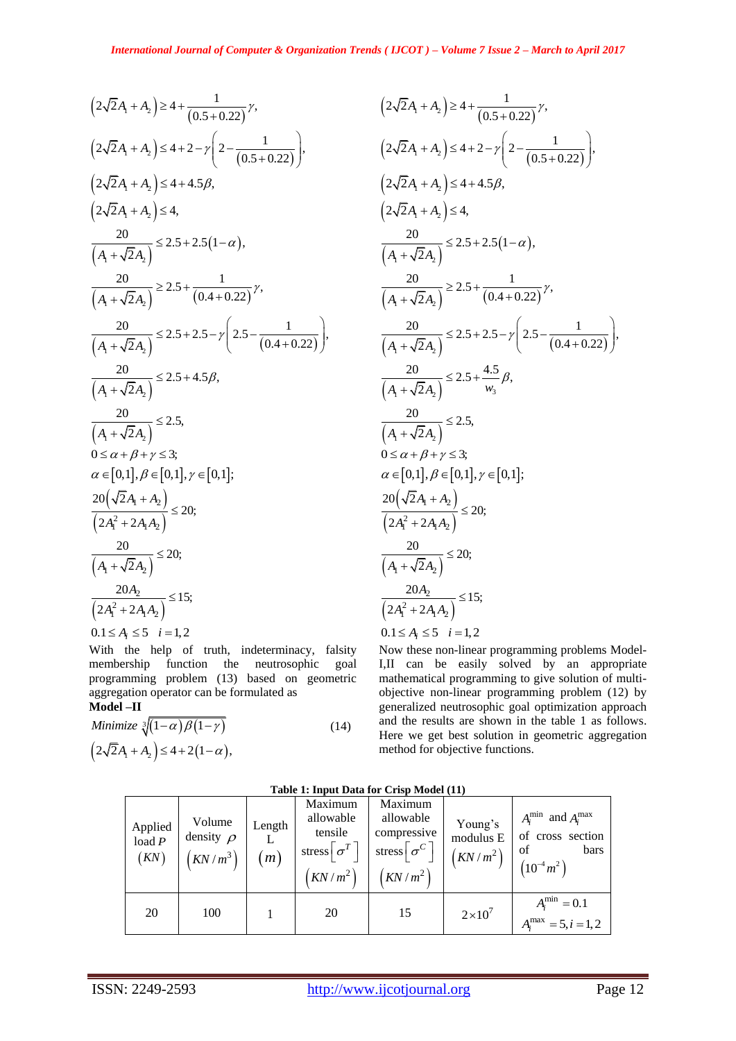$$
(2\sqrt{2}A_1 + A_1) \ge 4 + \frac{1}{(0.5 + 0.22)} \times
$$
\n
$$
(2\sqrt{2}A_1 + A_2) \ge 4 + 2 - \gamma \left(2 - \frac{1}{(0.5 + 0.22)}\right),
$$
\n
$$
(2\sqrt{2}A_1 + A_2) \le 4 + 2 - \gamma \left(2 - \frac{1}{(0.5 + 0.22)}\right),
$$
\n
$$
(2\sqrt{2}A_1 + A_3) \le 4 + 2 - \gamma \left(2 - \frac{1}{(0.5 + 0.22)}\right),
$$
\n
$$
(2\sqrt{2}A_1 + A_3) \le 4 + \frac{20}{(0.5 + 0.22)} \times
$$
\n
$$
(2\sqrt{2}A_1 + A_2) \le 2 + 2.5(1 - \alpha),
$$
\n
$$
\frac{20}{(A_1 + \sqrt{2}A_2)} \le 2.5 + 2.5(1 - \alpha),
$$
\n
$$
\frac{20}{(A_1 + \sqrt{2}A_3)} \le 2.5 + 2.5 - \gamma \left(2.5 - \frac{1}{(0.4 + 0.22)}\right),
$$
\n
$$
\frac{20}{(A_1 + \sqrt{2}A_3)} \le 2.5 + 4.5\beta,
$$
\n
$$
\frac{20}{(A_1 + \sqrt{2}A_3)} \le 2.5 + 4.5\beta,
$$
\n
$$
\frac{20}{(A_1 + \sqrt{2}A_2)} \le 2.5 + 4.5\beta,
$$
\n
$$
\frac{20}{(A_1 + \sqrt{2}A_3)} \le 2.5 + 4.5\beta,
$$
\n
$$
\frac{20}{(A_1 + \sqrt{2}A_3)} \le 2.5 + 4.5\beta,
$$
\n
$$
\frac{20}{(A_1 + \sqrt{2}A_3)} \le 2.5 + 4.5\beta,
$$
\n
$$
\frac{20}{(A_1 + \sqrt{2}A_3)} \le 2.5 + 4.5\beta,
$$
\n
$$
\frac{20}{(A_1 + \sqrt{2}A_3)} \le 2.5 + 4.5\beta,
$$
\n
$$
\
$$

With the help of truth, indeterminacy, falsity membership function the neutrosophic goal programming problem (13) based on geometric aggregation operator can be formulated as **Model –II**

$$
\begin{aligned} \text{Mionier} &= \mathbf{H} \\ \text{Minimize } \sqrt[3]{(1-\alpha)\beta(1-\gamma)} \\ \left(2\sqrt{2}A_1 + A_2\right) \le 4 + 2\left(1-\alpha\right), \end{aligned} \tag{14}
$$

$$
(2\sqrt{2}A_{1} + A_{2}) \ge 4 + \frac{1}{(0.5 + 0.22)}\gamma,
$$
  
\n
$$
(2\sqrt{2}A_{1} + A_{2}) \le 4 + 2 - \gamma \left(2 - \frac{1}{(0.5 + 0.22)}\right),
$$
  
\n
$$
(2\sqrt{2}A_{1} + A_{2}) \le 4 + 4.5\beta,
$$
  
\n
$$
(2\sqrt{2}A_{1} + A_{2}) \le 4,
$$
  
\n
$$
\frac{20}{(A_{1} + \sqrt{2}A_{2})} \le 2.5 + 2.5(1 - \alpha),
$$
  
\n
$$
\frac{20}{(A_{1} + \sqrt{2}A_{2})} \ge 2.5 + \frac{1}{(0.4 + 0.22)}\gamma,
$$
  
\n
$$
\frac{20}{(A_{1} + \sqrt{2}A_{2})} \le 2.5 + 2.5 - \gamma \left(2.5 - \frac{1}{(0.4 + 0.22)}\right),
$$
  
\n
$$
\frac{20}{(A_{1} + \sqrt{2}A_{2})} \le 2.5 + \frac{4.5}{w_{3}}\beta,
$$
  
\n
$$
\frac{20}{(A_{1} + \sqrt{2}A_{2})} \le 2.5,
$$
  
\n
$$
\alpha \in [0,1], \beta \in [0,1], \gamma \in [0,1];
$$
  
\n
$$
\frac{20(\sqrt{2}A_{1} + A_{2})}{(2A_{1}^{2} + 2A_{1}A_{2})} \le 20;
$$
  
\n
$$
\frac{20A_{2}}{(A_{1} + \sqrt{2}A_{2})} \le 15;
$$
  
\n
$$
\frac{20A_{2}}{(2A_{1}^{2} + 2A_{1}A_{2})} \le 15;
$$
  
\n
$$
0.1 \le A_{1} \le 5, i = 1, 2
$$

Now these non-linear programming problems Model-I,II can be easily solved by an appropriate mathematical programming to give solution of multiobjective non-linear programming problem (12) by generalized neutrosophic goal optimization approach and the results are shown in the table 1 as follows. Here we get best solution in geometric aggregation method for objective functions.

**Table 1: Input Data for Crisp Model (11)**

|                             | Table 1. Hiput Data for Crisp Model (11)          |               |                                                                                             |                                                                                      |                                               |                                                                                   |  |  |  |  |  |  |
|-----------------------------|---------------------------------------------------|---------------|---------------------------------------------------------------------------------------------|--------------------------------------------------------------------------------------|-----------------------------------------------|-----------------------------------------------------------------------------------|--|--|--|--|--|--|
| Applied<br>load $P$<br>(KN) | Volume<br>density $\rho$<br>$\left(KN/m^3\right)$ | Length<br>(m) | Maximum<br>allowable<br>tensile<br>stress $\lceil \sigma^T \rceil$<br>$\left(KN/m^2\right)$ | Maximum<br>allowable<br>compressive<br>stress $\lceil \sigma^{C} \rceil$<br>$KN/m^2$ | Young's<br>modulus E<br>$\left(KN/m^2\right)$ | $A_i^{\min}$ and $A_i^{\max}$<br>of cross section<br>bars<br>οf<br>$(10^{-4}m^2)$ |  |  |  |  |  |  |
| 20                          | 100                                               |               | 20                                                                                          | 15                                                                                   | $2\times10^7$                                 | $A_i^{\min} = 0.1$<br>$A_i^{\text{max}} = 5, i = 1, 2$                            |  |  |  |  |  |  |